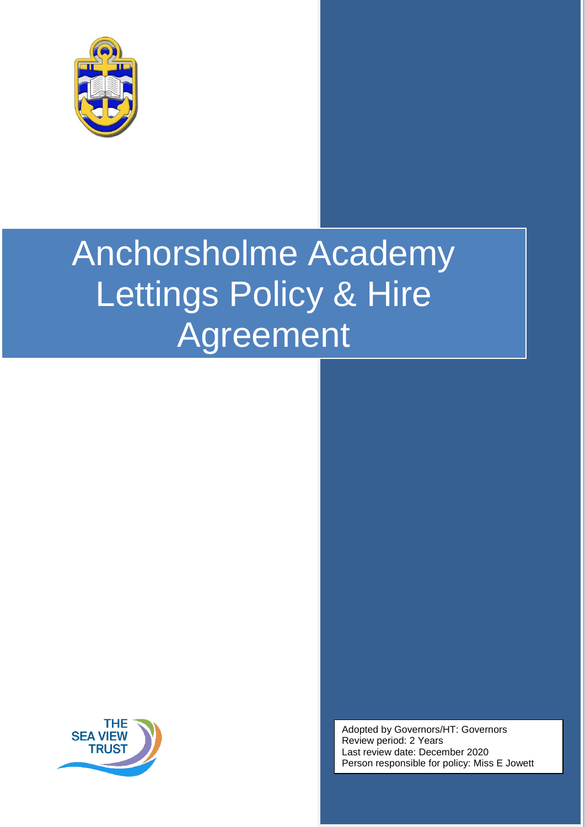



Adopted by Governors/HT: Governors Review period: 2 Years Last review date: December 2020 Person responsible for policy: Miss E Jowett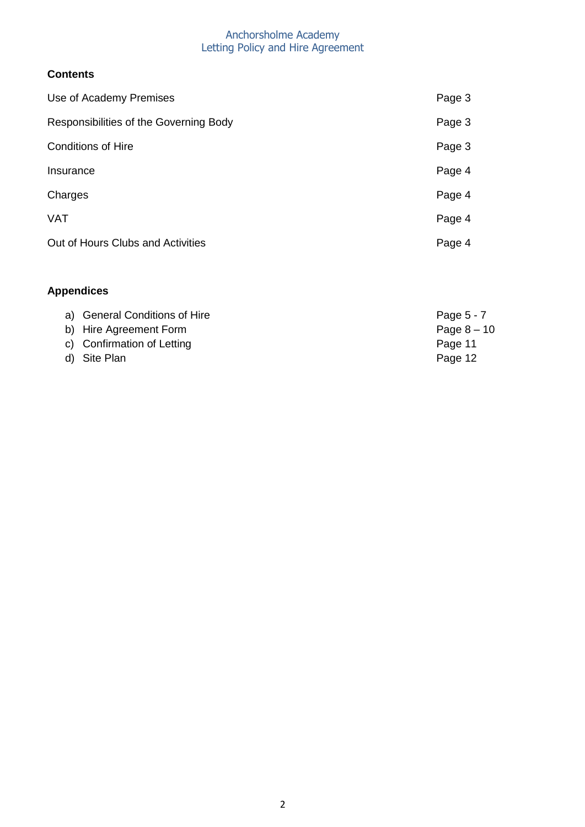## **Contents**

| Use of Academy Premises                | Page 3 |
|----------------------------------------|--------|
| Responsibilities of the Governing Body | Page 3 |
| <b>Conditions of Hire</b>              | Page 3 |
| Insurance                              | Page 4 |
| Charges                                | Page 4 |
| <b>VAT</b>                             | Page 4 |
| Out of Hours Clubs and Activities      | Page 4 |
|                                        |        |

# **Appendices**

| a) General Conditions of Hire | Page $5 - 7$ |
|-------------------------------|--------------|
| b) Hire Agreement Form        | Page $8-10$  |
| c) Confirmation of Letting    | Page 11      |
| d) Site Plan                  | Page 12      |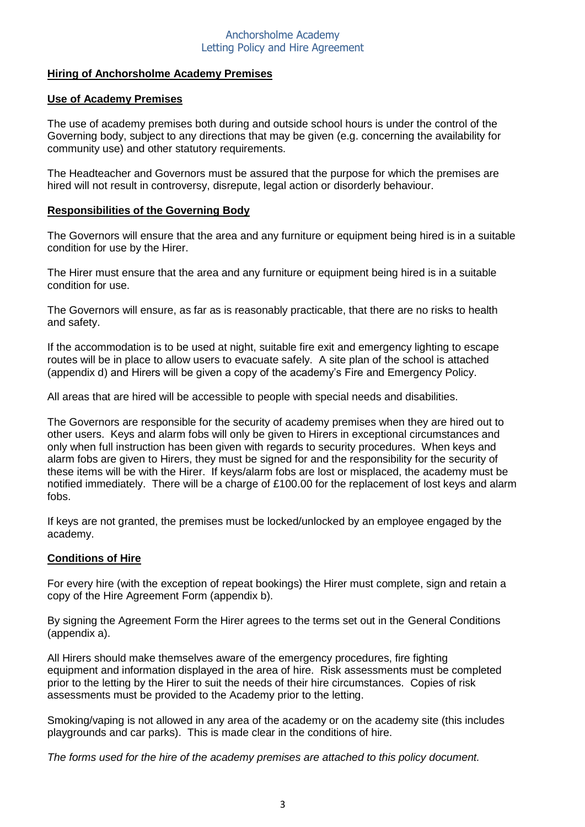#### **Hiring of Anchorsholme Academy Premises**

#### **Use of Academy Premises**

The use of academy premises both during and outside school hours is under the control of the Governing body, subject to any directions that may be given (e.g. concerning the availability for community use) and other statutory requirements.

The Headteacher and Governors must be assured that the purpose for which the premises are hired will not result in controversy, disrepute, legal action or disorderly behaviour.

#### **Responsibilities of the Governing Body**

The Governors will ensure that the area and any furniture or equipment being hired is in a suitable condition for use by the Hirer.

The Hirer must ensure that the area and any furniture or equipment being hired is in a suitable condition for use.

The Governors will ensure, as far as is reasonably practicable, that there are no risks to health and safety.

If the accommodation is to be used at night, suitable fire exit and emergency lighting to escape routes will be in place to allow users to evacuate safely. A site plan of the school is attached (appendix d) and Hirers will be given a copy of the academy's Fire and Emergency Policy.

All areas that are hired will be accessible to people with special needs and disabilities.

The Governors are responsible for the security of academy premises when they are hired out to other users. Keys and alarm fobs will only be given to Hirers in exceptional circumstances and only when full instruction has been given with regards to security procedures. When keys and alarm fobs are given to Hirers, they must be signed for and the responsibility for the security of these items will be with the Hirer. If keys/alarm fobs are lost or misplaced, the academy must be notified immediately. There will be a charge of £100.00 for the replacement of lost keys and alarm fobs.

If keys are not granted, the premises must be locked/unlocked by an employee engaged by the academy.

#### **Conditions of Hire**

For every hire (with the exception of repeat bookings) the Hirer must complete, sign and retain a copy of the Hire Agreement Form (appendix b).

By signing the Agreement Form the Hirer agrees to the terms set out in the General Conditions (appendix a).

All Hirers should make themselves aware of the emergency procedures, fire fighting equipment and information displayed in the area of hire. Risk assessments must be completed prior to the letting by the Hirer to suit the needs of their hire circumstances. Copies of risk assessments must be provided to the Academy prior to the letting.

Smoking/vaping is not allowed in any area of the academy or on the academy site (this includes playgrounds and car parks). This is made clear in the conditions of hire.

*The forms used for the hire of the academy premises are attached to this policy document.*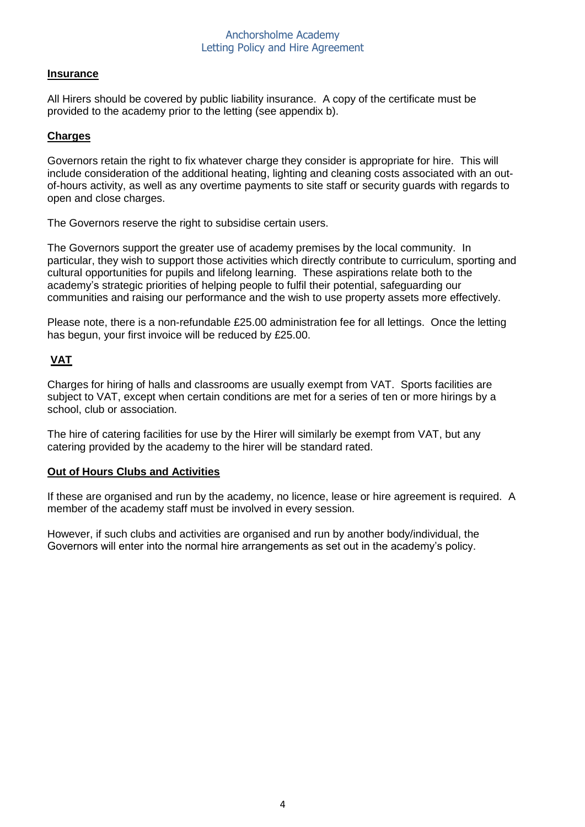#### **Insurance**

All Hirers should be covered by public liability insurance. A copy of the certificate must be provided to the academy prior to the letting (see appendix b).

#### **Charges**

Governors retain the right to fix whatever charge they consider is appropriate for hire. This will include consideration of the additional heating, lighting and cleaning costs associated with an outof-hours activity, as well as any overtime payments to site staff or security guards with regards to open and close charges.

The Governors reserve the right to subsidise certain users.

The Governors support the greater use of academy premises by the local community. In particular, they wish to support those activities which directly contribute to curriculum, sporting and cultural opportunities for pupils and lifelong learning. These aspirations relate both to the academy's strategic priorities of helping people to fulfil their potential, safeguarding our communities and raising our performance and the wish to use property assets more effectively.

Please note, there is a non-refundable £25.00 administration fee for all lettings. Once the letting has begun, your first invoice will be reduced by £25.00.

## **VAT**

Charges for hiring of halls and classrooms are usually exempt from VAT. Sports facilities are subject to VAT, except when certain conditions are met for a series of ten or more hirings by a school, club or association.

The hire of catering facilities for use by the Hirer will similarly be exempt from VAT, but any catering provided by the academy to the hirer will be standard rated.

#### **Out of Hours Clubs and Activities**

If these are organised and run by the academy, no licence, lease or hire agreement is required. A member of the academy staff must be involved in every session.

However, if such clubs and activities are organised and run by another body/individual, the Governors will enter into the normal hire arrangements as set out in the academy's policy.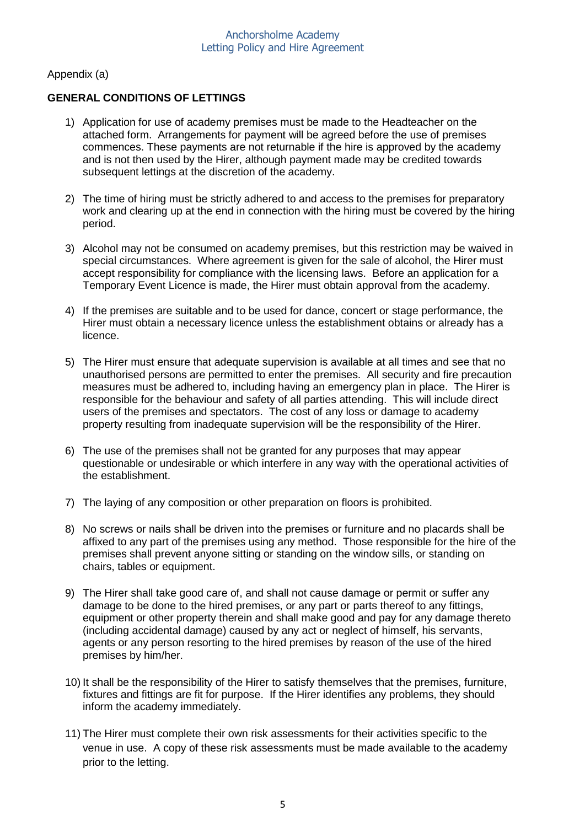Appendix (a)

### **GENERAL CONDITIONS OF LETTINGS**

- 1) Application for use of academy premises must be made to the Headteacher on the attached form. Arrangements for payment will be agreed before the use of premises commences. These payments are not returnable if the hire is approved by the academy and is not then used by the Hirer, although payment made may be credited towards subsequent lettings at the discretion of the academy.
- 2) The time of hiring must be strictly adhered to and access to the premises for preparatory work and clearing up at the end in connection with the hiring must be covered by the hiring period.
- 3) Alcohol may not be consumed on academy premises, but this restriction may be waived in special circumstances. Where agreement is given for the sale of alcohol, the Hirer must accept responsibility for compliance with the licensing laws. Before an application for a Temporary Event Licence is made, the Hirer must obtain approval from the academy.
- 4) If the premises are suitable and to be used for dance, concert or stage performance, the Hirer must obtain a necessary licence unless the establishment obtains or already has a licence.
- 5) The Hirer must ensure that adequate supervision is available at all times and see that no unauthorised persons are permitted to enter the premises. All security and fire precaution measures must be adhered to, including having an emergency plan in place. The Hirer is responsible for the behaviour and safety of all parties attending. This will include direct users of the premises and spectators. The cost of any loss or damage to academy property resulting from inadequate supervision will be the responsibility of the Hirer.
- 6) The use of the premises shall not be granted for any purposes that may appear questionable or undesirable or which interfere in any way with the operational activities of the establishment.
- 7) The laying of any composition or other preparation on floors is prohibited.
- 8) No screws or nails shall be driven into the premises or furniture and no placards shall be affixed to any part of the premises using any method. Those responsible for the hire of the premises shall prevent anyone sitting or standing on the window sills, or standing on chairs, tables or equipment.
- 9) The Hirer shall take good care of, and shall not cause damage or permit or suffer any damage to be done to the hired premises, or any part or parts thereof to any fittings, equipment or other property therein and shall make good and pay for any damage thereto (including accidental damage) caused by any act or neglect of himself, his servants, agents or any person resorting to the hired premises by reason of the use of the hired premises by him/her.
- 10) It shall be the responsibility of the Hirer to satisfy themselves that the premises, furniture, fixtures and fittings are fit for purpose. If the Hirer identifies any problems, they should inform the academy immediately.
- 11) The Hirer must complete their own risk assessments for their activities specific to the venue in use. A copy of these risk assessments must be made available to the academy prior to the letting.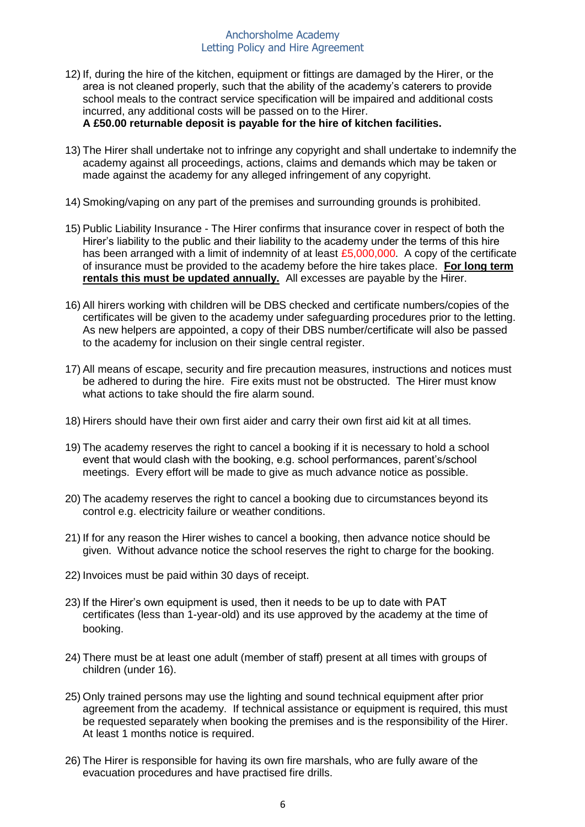- 12) If, during the hire of the kitchen, equipment or fittings are damaged by the Hirer, or the area is not cleaned properly, such that the ability of the academy's caterers to provide school meals to the contract service specification will be impaired and additional costs incurred, any additional costs will be passed on to the Hirer. **A £50.00 returnable deposit is payable for the hire of kitchen facilities.**
- 13) The Hirer shall undertake not to infringe any copyright and shall undertake to indemnify the academy against all proceedings, actions, claims and demands which may be taken or made against the academy for any alleged infringement of any copyright.
- 14) Smoking/vaping on any part of the premises and surrounding grounds is prohibited.
- 15) Public Liability Insurance The Hirer confirms that insurance cover in respect of both the Hirer's liability to the public and their liability to the academy under the terms of this hire has been arranged with a limit of indemnity of at least £5,000,000. A copy of the certificate of insurance must be provided to the academy before the hire takes place. **For long term rentals this must be updated annually.** All excesses are payable by the Hirer.
- 16) All hirers working with children will be DBS checked and certificate numbers/copies of the certificates will be given to the academy under safeguarding procedures prior to the letting. As new helpers are appointed, a copy of their DBS number/certificate will also be passed to the academy for inclusion on their single central register.
- 17) All means of escape, security and fire precaution measures, instructions and notices must be adhered to during the hire. Fire exits must not be obstructed. The Hirer must know what actions to take should the fire alarm sound.
- 18) Hirers should have their own first aider and carry their own first aid kit at all times.
- 19) The academy reserves the right to cancel a booking if it is necessary to hold a school event that would clash with the booking, e.g. school performances, parent's/school meetings. Every effort will be made to give as much advance notice as possible.
- 20) The academy reserves the right to cancel a booking due to circumstances beyond its control e.g. electricity failure or weather conditions.
- 21) If for any reason the Hirer wishes to cancel a booking, then advance notice should be given. Without advance notice the school reserves the right to charge for the booking.
- 22) Invoices must be paid within 30 days of receipt.
- 23) If the Hirer's own equipment is used, then it needs to be up to date with PAT certificates (less than 1-year-old) and its use approved by the academy at the time of booking.
- 24) There must be at least one adult (member of staff) present at all times with groups of children (under 16).
- 25) Only trained persons may use the lighting and sound technical equipment after prior agreement from the academy. If technical assistance or equipment is required, this must be requested separately when booking the premises and is the responsibility of the Hirer. At least 1 months notice is required.
- 26) The Hirer is responsible for having its own fire marshals, who are fully aware of the evacuation procedures and have practised fire drills.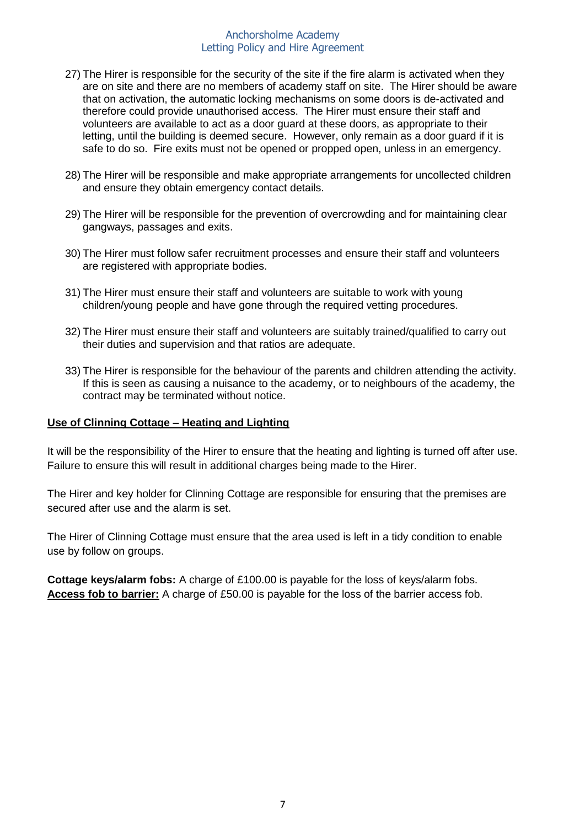- 27) The Hirer is responsible for the security of the site if the fire alarm is activated when they are on site and there are no members of academy staff on site. The Hirer should be aware that on activation, the automatic locking mechanisms on some doors is de-activated and therefore could provide unauthorised access. The Hirer must ensure their staff and volunteers are available to act as a door guard at these doors, as appropriate to their letting, until the building is deemed secure. However, only remain as a door guard if it is safe to do so. Fire exits must not be opened or propped open, unless in an emergency.
- 28) The Hirer will be responsible and make appropriate arrangements for uncollected children and ensure they obtain emergency contact details.
- 29) The Hirer will be responsible for the prevention of overcrowding and for maintaining clear gangways, passages and exits.
- 30) The Hirer must follow safer recruitment processes and ensure their staff and volunteers are registered with appropriate bodies.
- 31) The Hirer must ensure their staff and volunteers are suitable to work with young children/young people and have gone through the required vetting procedures.
- 32) The Hirer must ensure their staff and volunteers are suitably trained/qualified to carry out their duties and supervision and that ratios are adequate.
- 33) The Hirer is responsible for the behaviour of the parents and children attending the activity. If this is seen as causing a nuisance to the academy, or to neighbours of the academy, the contract may be terminated without notice.

#### **Use of Clinning Cottage – Heating and Lighting**

It will be the responsibility of the Hirer to ensure that the heating and lighting is turned off after use. Failure to ensure this will result in additional charges being made to the Hirer.

The Hirer and key holder for Clinning Cottage are responsible for ensuring that the premises are secured after use and the alarm is set.

The Hirer of Clinning Cottage must ensure that the area used is left in a tidy condition to enable use by follow on groups.

**Cottage keys/alarm fobs:** A charge of £100.00 is payable for the loss of keys/alarm fobs. **Access fob to barrier:** A charge of £50.00 is payable for the loss of the barrier access fob.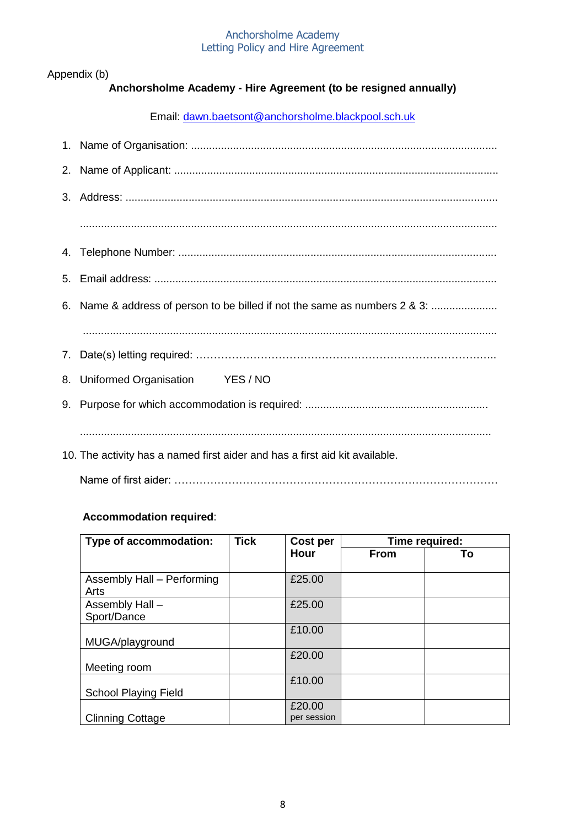Appendix (b)

# **Anchorsholme Academy - Hire Agreement (to be resigned annually)**

Email: [dawn.baetsont@anchorsholme.blackpool.sch.uk](mailto:dawn.baetsont@anchorsholme.blackpool.sch.uk)

| 6. Name & address of person to be billed if not the same as numbers 2 & 3:  |
|-----------------------------------------------------------------------------|
|                                                                             |
|                                                                             |
| 8. Uniformed Organisation YES / NO                                          |
|                                                                             |
|                                                                             |
| 10. The activity has a named first aider and has a first aid kit available. |

Name of first aider: ………………………………………………………………………………

## **Accommodation required**:

| Type of accommodation:      | <b>Tick</b> | Cost per    | Time required: |    |
|-----------------------------|-------------|-------------|----------------|----|
|                             |             | Hour        | From           | To |
|                             |             |             |                |    |
| Assembly Hall - Performing  |             | £25.00      |                |    |
| Arts                        |             |             |                |    |
| Assembly Hall -             |             | £25.00      |                |    |
| Sport/Dance                 |             |             |                |    |
|                             |             | £10.00      |                |    |
| MUGA/playground             |             |             |                |    |
|                             |             | £20.00      |                |    |
| Meeting room                |             |             |                |    |
|                             |             | £10.00      |                |    |
| <b>School Playing Field</b> |             |             |                |    |
|                             |             | £20.00      |                |    |
| <b>Clinning Cottage</b>     |             | per session |                |    |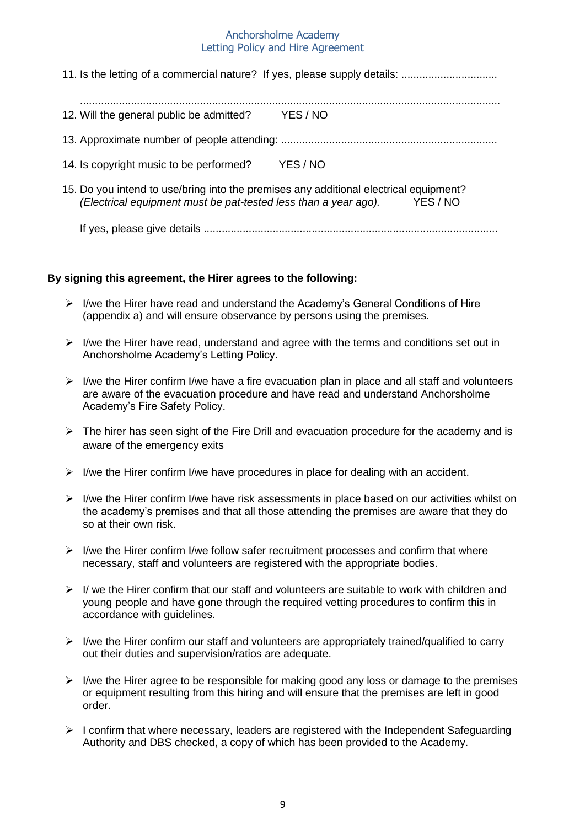| 12. Will the general public be admitted?                                                                                                                 | YES / NO |
|----------------------------------------------------------------------------------------------------------------------------------------------------------|----------|
|                                                                                                                                                          |          |
| 14. Is copyright music to be performed?                                                                                                                  | YES / NO |
| 15. Do you intend to use/bring into the premises any additional electrical equipment?<br>(Electrical equipment must be pat-tested less than a year ago). | YES / NO |

If yes, please give details ..................................................................................................

#### **By signing this agreement, the Hirer agrees to the following:**

- I/we the Hirer have read and understand the Academy's General Conditions of Hire (appendix a) and will ensure observance by persons using the premises.
- $\triangleright$  I/we the Hirer have read, understand and agree with the terms and conditions set out in Anchorsholme Academy's Letting Policy.
- $\triangleright$  I/we the Hirer confirm I/we have a fire evacuation plan in place and all staff and volunteers are aware of the evacuation procedure and have read and understand Anchorsholme Academy's Fire Safety Policy.
- $\triangleright$  The hirer has seen sight of the Fire Drill and evacuation procedure for the academy and is aware of the emergency exits
- $\triangleright$  I/we the Hirer confirm I/we have procedures in place for dealing with an accident.
- $\triangleright$  I/we the Hirer confirm I/we have risk assessments in place based on our activities whilst on the academy's premises and that all those attending the premises are aware that they do so at their own risk.
- $\triangleright$  I/we the Hirer confirm I/we follow safer recruitment processes and confirm that where necessary, staff and volunteers are registered with the appropriate bodies.
- $\triangleright$  I/ we the Hirer confirm that our staff and volunteers are suitable to work with children and young people and have gone through the required vetting procedures to confirm this in accordance with guidelines.
- $\triangleright$  I/we the Hirer confirm our staff and volunteers are appropriately trained/qualified to carry out their duties and supervision/ratios are adequate.
- $\triangleright$  I/we the Hirer agree to be responsible for making good any loss or damage to the premises or equipment resulting from this hiring and will ensure that the premises are left in good order.
- $\triangleright$  I confirm that where necessary, leaders are registered with the Independent Safeguarding Authority and DBS checked, a copy of which has been provided to the Academy.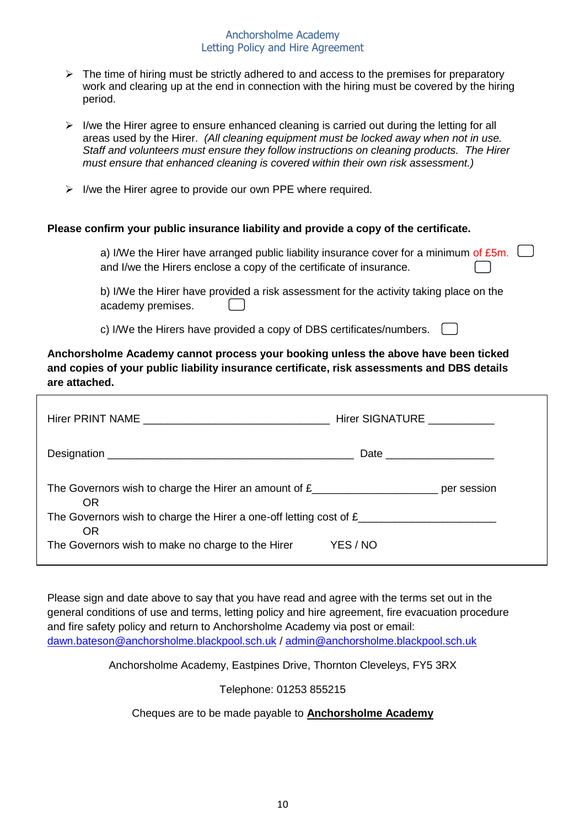- $\triangleright$  The time of hiring must be strictly adhered to and access to the premises for preparatory work and clearing up at the end in connection with the hiring must be covered by the hiring period.
- $\triangleright$  I/we the Hirer agree to ensure enhanced cleaning is carried out during the letting for all areas used by the Hirer. *(All cleaning equipment must be locked away when not in use. Staff and volunteers must ensure they follow instructions on cleaning products. The Hirer must ensure that enhanced cleaning is covered within their own risk assessment.)*
- $\triangleright$  I/we the Hirer agree to provide our own PPE where required.

#### **Please confirm your public insurance liability and provide a copy of the certificate.**

| a) I/We the Hirer have arranged public liability insurance cover for a minimum of $E5m$ . |  |
|-------------------------------------------------------------------------------------------|--|
| and I/we the Hirers enclose a copy of the certificate of insurance.                       |  |

b) I/We the Hirer have provided a risk assessment for the activity taking place on the academy premises.

c) I/We the Hirers have provided a copy of DBS certificates/numbers.

**Anchorsholme Academy cannot process your booking unless the above have been ticked and copies of your public liability insurance certificate, risk assessments and DBS details are attached.**

|                                                                                                        | Hirer SIGNATURE ____________ |  |  |
|--------------------------------------------------------------------------------------------------------|------------------------------|--|--|
|                                                                                                        |                              |  |  |
| The Governors wish to charge the Hirer an amount of $E_{\text{max}}$ = $\frac{1}{2}$ per session<br>0R |                              |  |  |
| 0R                                                                                                     |                              |  |  |
| The Governors wish to make no charge to the Hirer                                                      | YES / NO                     |  |  |

Please sign and date above to say that you have read and agree with the terms set out in the general conditions of use and terms, letting policy and hire agreement, fire evacuation procedure and fire safety policy and return to Anchorsholme Academy via post or email: [dawn.bateson@anchorsholme.blackpool.sch.uk](mailto:dawn.bateson@anchorsholme.blackpool.sch.uk) / [admin@anchorsholme.blackpool.sch.uk](mailto:admin@anchorsholme.blackpool.sch.uk)

Anchorsholme Academy, Eastpines Drive, Thornton Cleveleys, FY5 3RX

#### Telephone: 01253 855215

#### Cheques are to be made payable to **Anchorsholme Academy**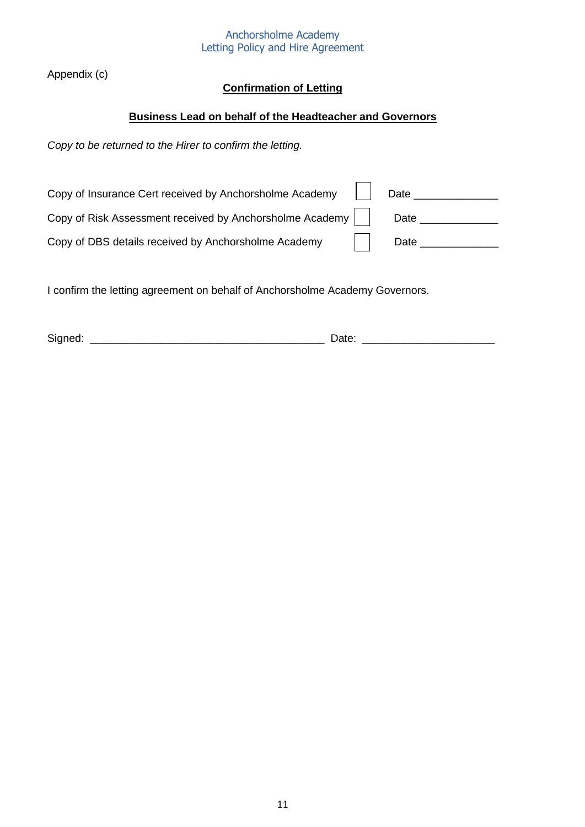Appendix (c)

# **Confirmation of Letting**

## **Business Lead on behalf of the Headteacher and Governors**

*Copy to be returned to the Hirer to confirm the letting.*

| Copy of Insurance Cert received by Anchorsholme Academy  | Date |
|----------------------------------------------------------|------|
| Copy of Risk Assessment received by Anchorsholme Academy | Date |
| Copy of DBS details received by Anchorsholme Academy     | Date |

I confirm the letting agreement on behalf of Anchorsholme Academy Governors.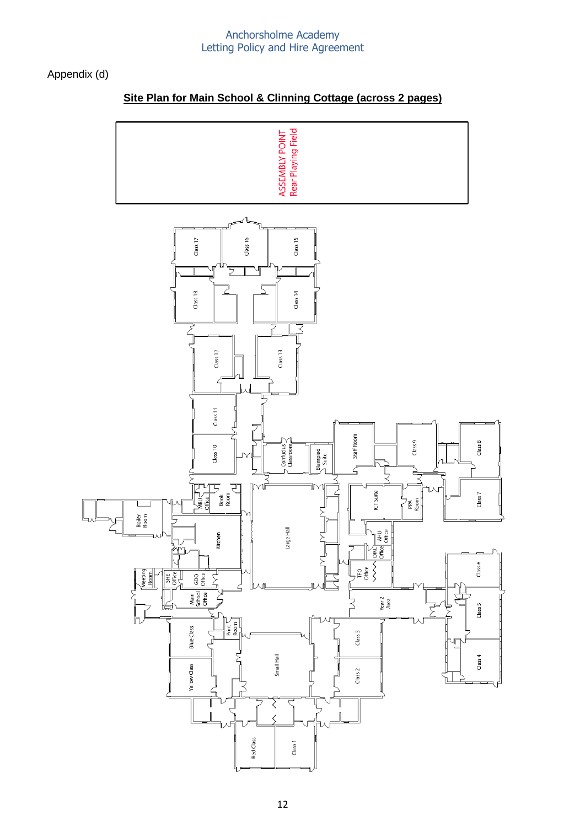## Appendix (d)

# **Site Plan for Main School & Clinning Cottage (across 2 pages)**